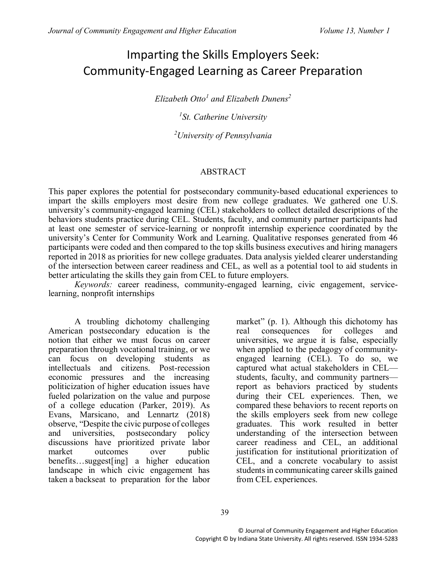# Imparting the Skills Employers Seek: Community-Engaged Learning as Career Preparation

*Elizabeth Otto<sup>1</sup> and Elizabeth Dunens<sup>2</sup>*

*1 St. Catherine University*

*<sup>2</sup>University of Pennsylvania*

#### ABSTRACT

This paper explores the potential for postsecondary community-based educational experiences to impart the skills employers most desire from new college graduates. We gathered one U.S. university's community-engaged learning (CEL) stakeholders to collect detailed descriptions of the behaviors students practice during CEL. Students, faculty, and community partner participants had at least one semester of service-learning or nonprofit internship experience coordinated by the university's Center for Community Work and Learning. Qualitative responses generated from 46 participants were coded and then compared to the top skills business executives and hiring managers reported in 2018 as priorities for new college graduates. Data analysis yielded clearer understanding of the intersection between career readiness and CEL, as well as a potential tool to aid students in better articulating the skills they gain from CEL to future employers.

*Keywords:* career readiness, community-engaged learning, civic engagement, servicelearning, nonprofit internships

A troubling dichotomy challenging American postsecondary education is the notion that either we must focus on career preparation through vocational training, or we can focus on developing students as intellectuals and citizens. Post-recession economic pressures and the increasing politicization of higher education issues have fueled polarization on the value and purpose of a college education (Parker, 2019). As Evans, Marsicano, and Lennartz (2018) observe, "Despite the civic purpose of colleges and universities, postsecondary policy discussions have prioritized private labor market outcomes over public benefits…suggest[ing] a higher education landscape in which civic engagement has taken a backseat to preparation for the labor

market" (p. 1). Although this dichotomy has real consequences for colleges and universities, we argue it is false, especially when applied to the pedagogy of communityengaged learning (CEL). To do so, we captured what actual stakeholders in CEL students, faculty, and community partners report as behaviors practiced by students during their CEL experiences. Then, we compared these behaviors to recent reports on the skills employers seek from new college graduates. This work resulted in better understanding of the intersection between career readiness and CEL, an additional justification for institutional prioritization of CEL, and a concrete vocabulary to assist students in communicating career skills gained from CEL experiences.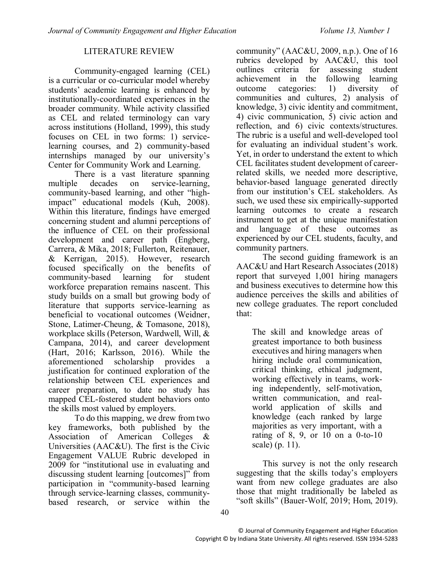#### LITERATURE REVIEW

Community-engaged learning (CEL) is a curricular or co-curricular model whereby students' academic learning is enhanced by institutionally-coordinated experiences in the broader community. While activity classified as CEL and related terminology can vary across institutions (Holland, 1999), this study focuses on CEL in two forms: 1) servicelearning courses, and 2) community-based internships managed by our university's Center for Community Work and Learning.

There is a vast literature spanning multiple decades on service-learning, community-based learning, and other "highimpact" educational models (Kuh, 2008). Within this literature, findings have emerged concerning student and alumni perceptions of the influence of CEL on their professional development and career path (Engberg, Carrera, & Mika, 2018; Fullerton, Reitenauer, & Kerrigan, 2015). However, research focused specifically on the benefits of community-based learning for student workforce preparation remains nascent. This study builds on a small but growing body of literature that supports service-learning as beneficial to vocational outcomes (Weidner, Stone, Latimer-Cheung, & Tomasone, 2018), workplace skills (Peterson, Wardwell, Will, & Campana, 2014), and career development (Hart, 2016; Karlsson, 2016). While the aforementioned scholarship provides a justification for continued exploration of the relationship between CEL experiences and career preparation, to date no study has mapped CEL-fostered student behaviors onto the skills most valued by employers.

To do this mapping, we drew from two key frameworks, both published by the Association of American Colleges & Universities (AAC&U). The first is the Civic Engagement VALUE Rubric developed in 2009 for "institutional use in evaluating and discussing student learning [outcomes]" from participation in "community-based learning through service-learning classes, communitybased research, or service within the

community" (AAC&U, 2009, n.p.). One of 16 rubrics developed by AAC&U, this tool outlines criteria for assessing student achievement in the following learning achievement in the following learning outcome categories: 1) diversity of communities and cultures, 2) analysis of knowledge, 3) civic identity and commitment, 4) civic communication, 5) civic action and reflection, and 6) civic contexts/structures. The rubric is a useful and well-developed tool for evaluating an individual student's work. Yet, in order to understand the extent to which CEL facilitates student development of careerrelated skills, we needed more descriptive, behavior-based language generated directly from our institution's CEL stakeholders. As such, we used these six empirically-supported learning outcomes to create a research instrument to get at the unique manifestation and language of these outcomes as experienced by our CEL students, faculty, and community partners.

The second guiding framework is an AAC&U and Hart Research Associates (2018) report that surveyed 1,001 hiring managers and business executives to determine how this audience perceives the skills and abilities of new college graduates. The report concluded that:

The skill and knowledge areas of greatest importance to both business executives and hiring managers when hiring include oral communication, critical thinking, ethical judgment, working effectively in teams, working independently, self-motivation, written communication, and realworld application of skills and knowledge (each ranked by large majorities as very important, with a rating of 8, 9, or 10 on a 0-to-10 scale) (p. 11).

This survey is not the only research suggesting that the skills today's employers want from new college graduates are also those that might traditionally be labeled as "soft skills" (Bauer-Wolf, 2019; Hom, 2019).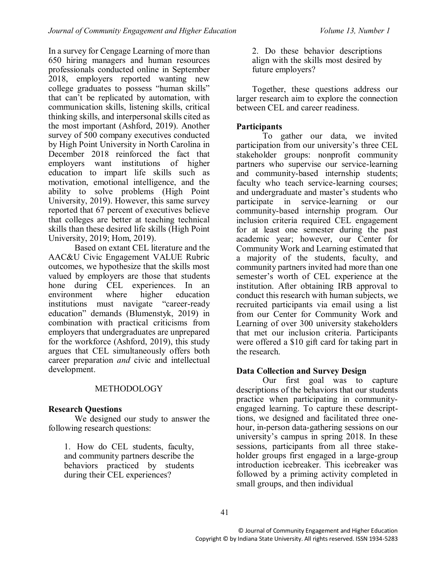In a survey for Cengage Learning of more than 650 hiring managers and human resources professionals conducted online in September 2018, employers reported wanting new college graduates to possess "human skills" that can't be replicated by automation, with communication skills, listening skills, critical thinking skills, and interpersonal skills cited as the most important (Ashford, 2019). Another survey of 500 company executives conducted by High Point University in North Carolina in December 2018 reinforced the fact that employers want institutions of higher education to impart life skills such as motivation, emotional intelligence, and the ability to solve problems (High Point University, 2019). However, this same survey reported that 67 percent of executives believe that colleges are better at teaching technical skills than these desired life skills (High Point University, 2019; Hom, 2019).

Based on extant CEL literature and the AAC&U Civic Engagement VALUE Rubric outcomes, we hypothesize that the skills most valued by employers are those that students hone during CEL experiences. In an environment where higher education environment where higher education institutions must navigate "career-ready education" demands (Blumenstyk, 2019) in combination with practical criticisms from employers that undergraduates are unprepared for the workforce (Ashford, 2019), this study argues that CEL simultaneously offers both career preparation *and* civic and intellectual development.

#### METHODOLOGY

#### **Research Questions**

We designed our study to answer the following research questions:

1. How do CEL students, faculty, and community partners describe the behaviors practiced by students during their CEL experiences?

2. Do these behavior descriptions align with the skills most desired by future employers?

Together, these questions address our larger research aim to explore the connection between CEL and career readiness.

### **Participants**

To gather our data, we invited participation from our university's three CEL stakeholder groups: nonprofit community partners who supervise our service-learning and community-based internship students; faculty who teach service-learning courses; and undergraduate and master's students who participate in service-learning or our community-based internship program. Our inclusion criteria required CEL engagement for at least one semester during the past academic year; however, our Center for Community Work and Learning estimated that a majority of the students, faculty, and community partners invited had more than one semester's worth of CEL experience at the institution. After obtaining IRB approval to conduct this research with human subjects, we recruited participants via email using a list from our Center for Community Work and Learning of over 300 university stakeholders that met our inclusion criteria. Participants were offered a \$10 gift card for taking part in the research.

#### **Data Collection and Survey Design**

Our first goal was to capture descriptions of the behaviors that our students practice when participating in communityengaged learning. To capture these descripttions, we designed and facilitated three onehour, in-person data-gathering sessions on our university's campus in spring 2018. In these sessions, participants from all three stakeholder groups first engaged in a large-group introduction icebreaker. This icebreaker was followed by a priming activity completed in small groups, and then individual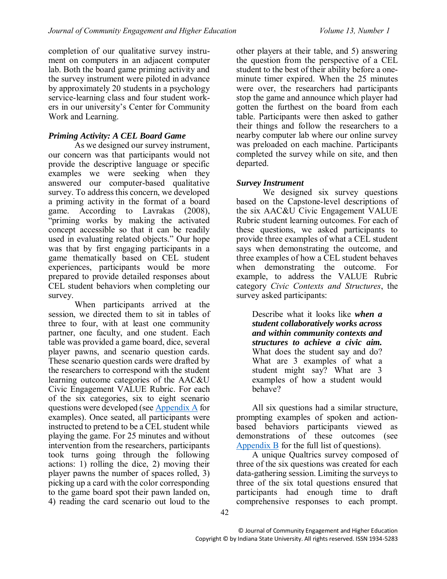completion of our qualitative survey instrument on computers in an adjacent computer lab. Both the board game priming activity and the survey instrument were piloted in advance by approximately 20 students in a psychology service-learning class and four student workers in our university's Center for Community Work and Learning.

### *Priming Activity: A CEL Board Game*

As we designed our survey instrument, our concern was that participants would not provide the descriptive language or specific examples we were seeking when they answered our computer-based qualitative survey. To address this concern, we developed a priming activity in the format of a board game. According to Lavrakas (2008), "priming works by making the activated concept accessible so that it can be readily used in evaluating related objects." Our hope was that by first engaging participants in a game thematically based on CEL student experiences, participants would be more prepared to provide detailed responses about CEL student behaviors when completing our survey.

When participants arrived at the session, we directed them to sit in tables of three to four, with at least one community partner, one faculty, and one student. Each table was provided a game board, dice, several player pawns, and scenario question cards. These scenario question cards were drafted by the researchers to correspond with the student learning outcome categories of the AAC&U Civic Engagement VALUE Rubric. For each of the six categories, six to eight scenario questions were developed (see [Appendix A](#page-12-0) for examples). Once seated, all participants were instructed to pretend to be a CEL student while playing the game. For 25 minutes and without intervention from the researchers, participants took turns going through the following actions: 1) rolling the dice, 2) moving their player pawns the number of spaces rolled, 3) picking up a card with the color corresponding to the game board spot their pawn landed on, 4) reading the card scenario out loud to the

other players at their table, and 5) answering the question from the perspective of a CEL student to the best of their ability before a oneminute timer expired. When the 25 minutes were over, the researchers had participants stop the game and announce which player had gotten the furthest on the board from each table. Participants were then asked to gather their things and follow the researchers to a nearby computer lab where our online survey was preloaded on each machine. Participants completed the survey while on site, and then departed.

#### *Survey Instrument*

We designed six survey questions based on the Capstone-level descriptions of the six AAC&U Civic Engagement VALUE Rubric student learning outcomes. For each of these questions, we asked participants to provide three examples of what a CEL student says when demonstrating the outcome, and three examples of how a CEL student behaves when demonstrating the outcome. For example, to address the VALUE Rubric category *Civic Contexts and Structures*, the survey asked participants:

Describe what it looks like *when a student collaboratively works across and within community contexts and structures to achieve a civic aim.* What does the student say and do? What are 3 examples of what a student might say? What are 3 examples of how a student would behave?

<span id="page-3-0"></span>All six questions had a similar structure, prompting examples of spoken and actionbased behaviors participants viewed as demonstrations of these outcomes (see [Appendix B](#page-14-0) for the full list of questions).

<span id="page-3-1"></span>A unique Qualtrics survey composed of three of the six questions was created for each data-gathering session. Limiting the surveys to three of the six total questions ensured that participants had enough time to draft comprehensive responses to each prompt.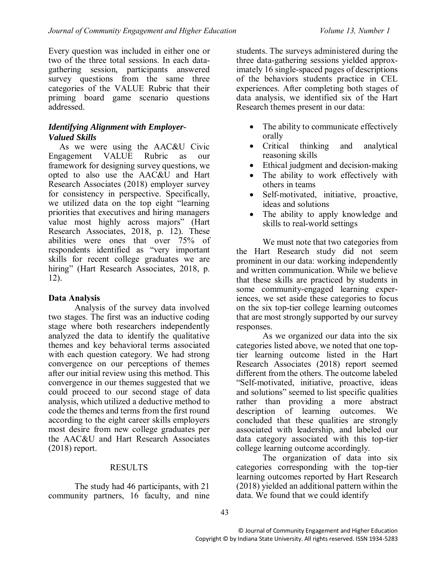Every question was included in either one or two of the three total sessions. In each datagathering session, participants answered survey questions from the same three categories of the VALUE Rubric that their priming board game scenario questions addressed.

#### *Identifying Alignment with Employer-Valued Skills*

 As we were using the AAC&U Civic Engagement VALUE Rubric as our framework for designing survey questions, we opted to also use the AAC&U and Hart Research Associates (2018) employer survey for consistency in perspective. Specifically, we utilized data on the top eight "learning priorities that executives and hiring managers value most highly across majors" (Hart Research Associates, 2018, p. 12). These abilities were ones that over 75% of respondents identified as "very important skills for recent college graduates we are hiring" (Hart Research Associates, 2018, p. 12).

#### **Data Analysis**

Analysis of the survey data involved two stages. The first was an inductive coding stage where both researchers independently analyzed the data to identify the qualitative themes and key behavioral terms associated with each question category. We had strong convergence on our perceptions of themes after our initial review using this method. This convergence in our themes suggested that we could proceed to our second stage of data analysis, which utilized a deductive method to code the themes and terms from the first round according to the eight career skills employers most desire from new college graduates per the AAC&U and Hart Research Associates (2018) report.

#### RESULTS

The study had 46 participants, with 21 community partners, 16 faculty, and nine students. The surveys administered during the three data-gathering sessions yielded approximately 16 single-spaced pages of descriptions of the behaviors students practice in CEL experiences. After completing both stages of data analysis, we identified six of the Hart Research themes present in our data:

- The ability to communicate effectively orally
- Critical thinking and analytical reasoning skills
- Ethical judgment and decision-making
- The ability to work effectively with others in teams
- Self-motivated, initiative, proactive, ideas and solutions
- The ability to apply knowledge and skills to real-world settings

We must note that two categories from the Hart Research study did not seem prominent in our data: working independently and written communication. While we believe that these skills are practiced by students in some community-engaged learning experiences, we set aside these categories to focus on the six top-tier college learning outcomes that are most strongly supported by our survey responses.

As we organized our data into the six categories listed above, we noted that one toptier learning outcome listed in the Hart Research Associates (2018) report seemed different from the others. The outcome labeled "Self-motivated, initiative, proactive, ideas and solutions" seemed to list specific qualities rather than providing a more abstract description of learning outcomes. We concluded that these qualities are strongly associated with leadership, and labeled our data category associated with this top-tier college learning outcome accordingly.

The organization of data into six categories corresponding with the top-tier learning outcomes reported by Hart Research (2018) yielded an additional pattern within the data. We found that we could identify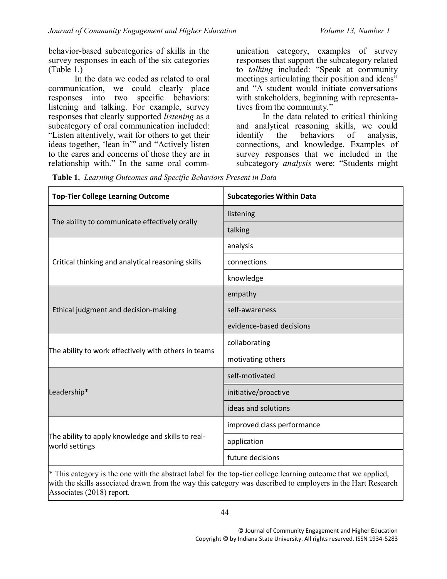behavior-based subcategories of skills in the survey responses in each of the six categories (Table 1.)

In the data we coded as related to oral communication, we could clearly place responses into two specific behaviors: listening and talking. For example, survey responses that clearly supported *listening* as a subcategory of oral communication included: "Listen attentively, wait for others to get their ideas together, 'lean in'" and "Actively listen to the cares and concerns of those they are in relationship with." In the same oral comm-

unication category, examples of survey responses that support the subcategory related to *talking* included: "Speak at community meetings articulating their position and ideas" and "A student would initiate conversations with stakeholders, beginning with representatives from the community."

In the data related to critical thinking and analytical reasoning skills, we could identify the behaviors of analysis, connections, and knowledge. Examples of survey responses that we included in the subcategory *analysis* were: "Students might

**Table 1.** *Learning Outcomes and Specific Behaviors Present in Data*

| <b>Top-Tier College Learning Outcome</b>                             | <b>Subcategories Within Data</b> |
|----------------------------------------------------------------------|----------------------------------|
| The ability to communicate effectively orally                        | listening                        |
|                                                                      | talking                          |
| Critical thinking and analytical reasoning skills                    | analysis                         |
|                                                                      | connections                      |
|                                                                      | knowledge                        |
| Ethical judgment and decision-making                                 | empathy                          |
|                                                                      | self-awareness                   |
|                                                                      | evidence-based decisions         |
| The ability to work effectively with others in teams                 | collaborating                    |
|                                                                      | motivating others                |
| Leadership*                                                          | self-motivated                   |
|                                                                      | initiative/proactive             |
|                                                                      | ideas and solutions              |
| The ability to apply knowledge and skills to real-<br>world settings | improved class performance       |
|                                                                      | application                      |
|                                                                      | future decisions                 |

\* This category is the one with the abstract label for the top-tier college learning outcome that we applied, with the skills associated drawn from the way this category was described to employers in the Hart Research Associates (2018) report.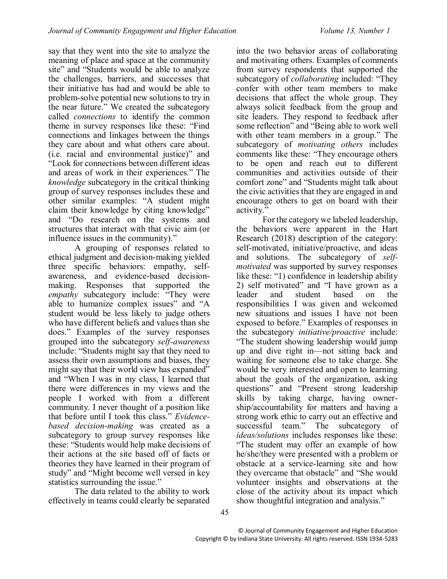say that they went into the site to analyze the meaning of place and space at the community site" and "Students would be able to analyze the challenges, barriers, and successes that their initiative has had and would be able to problem-solve potential new solutions to try in the near future." We created the subcategory called *connections* to identify the common theme in survey responses like these: "Find connections and linkages between the things they care about and what others care about. (i.e. racial and environmental justice)" and "Look for connections between different ideas and areas of work in their experiences." The *knowledge* subcategory in the critical thinking group of survey responses includes these and other similar examples: "A student might claim their knowledge by citing knowledge" and "Do research on the systems and structures that interact with that civic aim (or influence issues in the community)."

A grouping of responses related to ethical judgment and decision-making yielded three specific behaviors: empathy, selfawareness, and evidence-based decisionmaking. Responses that supported the *empathy* subcategory include: "They were able to humanize complex issues" and "A student would be less likely to judge others who have different beliefs and values than she does." Examples of the survey responses grouped into the subcategory *self-awareness* include: "Students might say that they need to assess their own assumptions and biases, they might say that their world view has expanded" and "When I was in my class, I learned that there were differences in my views and the people I worked with from a different community. I never thought of a position like that before until I took this class." *Evidencebased decision-making* was created as a subcategory to group survey responses like these: "Students would help make decisions of their actions at the site based off of facts or theories they have learned in their program of study" and "Might become well versed in key statistics surrounding the issue."

The data related to the ability to work effectively in teams could clearly be separated

into the two behavior areas of collaborating and motivating others. Examples of comments from survey respondents that supported the subcategory of *collaborating* included: "They confer with other team members to make decisions that affect the whole group. They always solicit feedback from the group and site leaders. They respond to feedback after some reflection" and "Being able to work well with other team members in a group." The subcategory of *motivating others* includes comments like these: "They encourage others to be open and reach out to different communities and activities outside of their comfort zone" and "Students might talk about the civic activities that they are engaged in and encourage others to get on board with their activity.'

For the category we labeled leadership, the behaviors were apparent in the Hart Research (2018) description of the category: self-motivated, initiative/proactive, and ideas and solutions. The subcategory of *selfmotivated* was supported by survey responses like these: "1) confidence in leadership ability 2) self motivated" and "I have grown as a leader and student based on the responsibilities I was given and welcomed new situations and issues I have not been exposed to before." Examples of responses in the subcategory *initiative/proactive* include: "The student showing leadership would jump up and dive right in—not sitting back and waiting for someone else to take charge. She would be very interested and open to learning about the goals of the organization, asking questions" and "Present strong leadership skills by taking charge, having ownership/accountability for matters and having a strong work ethic to carry out an effective and successful team." The subcategory of *ideas/solutions* includes responses like these: "The student may offer an example of how he/she/they were presented with a problem or obstacle at a service-learning site and how they overcame that obstacle" and "She would volunteer insights and observations at the close of the activity about its impact which show thoughtful integration and analysis."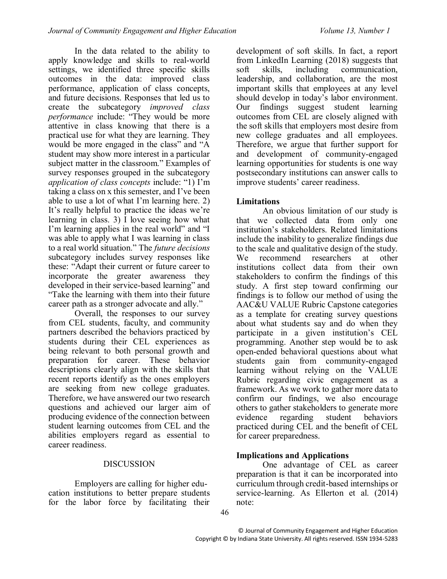In the data related to the ability to apply knowledge and skills to real-world settings, we identified three specific skills outcomes in the data: improved class performance, application of class concepts, and future decisions. Responses that led us to create the subcategory *improved class performance* include: "They would be more attentive in class knowing that there is a practical use for what they are learning. They would be more engaged in the class" and "A student may show more interest in a particular subject matter in the classroom." Examples of survey responses grouped in the subcategory *application of class concepts* include: "1) I'm taking a class on x this semester, and I've been able to use a lot of what I'm learning here. 2) It's really helpful to practice the ideas we're learning in class. 3) I love seeing how what I'm learning applies in the real world" and "I was able to apply what I was learning in class to a real world situation." The *future decisions* subcategory includes survey responses like these: "Adapt their current or future career to incorporate the greater awareness they developed in their service-based learning" and "Take the learning with them into their future career path as a stronger advocate and ally."

Overall, the responses to our survey from CEL students, faculty, and community partners described the behaviors practiced by students during their CEL experiences as being relevant to both personal growth and preparation for career. These behavior descriptions clearly align with the skills that recent reports identify as the ones employers are seeking from new college graduates. Therefore, we have answered our two research questions and achieved our larger aim of producing evidence of the connection between student learning outcomes from CEL and the abilities employers regard as essential to career readiness.

#### DISCUSSION

Employers are calling for higher education institutions to better prepare students for the labor force by facilitating their

development of soft skills. In fact, a report from LinkedIn Learning (2018) suggests that soft skills, including communication, leadership, and collaboration, are the most important skills that employees at any level should develop in today's labor environment. Our findings suggest student learning outcomes from CEL are closely aligned with the soft skills that employers most desire from new college graduates and all employees. Therefore, we argue that further support for and development of community-engaged learning opportunities for students is one way postsecondary institutions can answer calls to improve students' career readiness.

#### **Limitations**

An obvious limitation of our study is that we collected data from only one institution's stakeholders. Related limitations include the inability to generalize findings due to the scale and qualitative design of the study.<br>We recommend researchers at other researchers institutions collect data from their own stakeholders to confirm the findings of this study. A first step toward confirming our findings is to follow our method of using the AAC&U VALUE Rubric Capstone categories as a template for creating survey questions about what students say and do when they participate in a given institution's CEL programming. Another step would be to ask open-ended behavioral questions about what students gain from community-engaged learning without relying on the VALUE Rubric regarding civic engagement as a framework. As we work to gather more data to confirm our findings, we also encourage others to gather stakeholders to generate more evidence regarding student behaviors practiced during CEL and the benefit of CEL for career preparedness.

#### **Implications and Applications**

One advantage of CEL as career preparation is that it can be incorporated into curriculum through credit-based internships or service-learning. As Ellerton et al. (2014) note: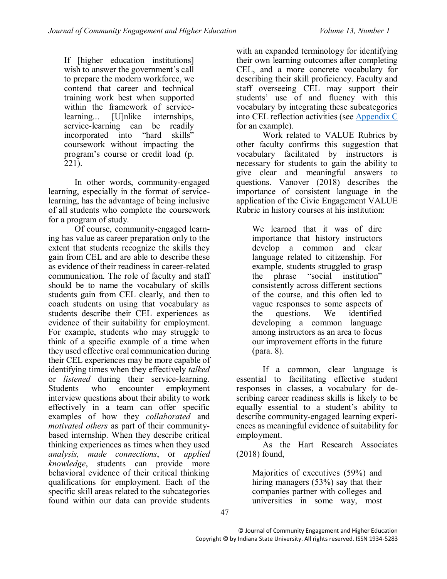If [higher education institutions] wish to answer the government's call to prepare the modern workforce, we contend that career and technical training work best when supported within the framework of servicelearning... [U]nlike internships,<br>service-learning can be readily service-learning can be incorporated into "hard skills" coursework without impacting the program's course or credit load (p. 221).

In other words, community-engaged learning, especially in the format of servicelearning, has the advantage of being inclusive of all students who complete the coursework for a program of study.

Of course, community-engaged learning has value as career preparation only to the extent that students recognize the skills they gain from CEL and are able to describe these as evidence of their readiness in career-related communication. The role of faculty and staff should be to name the vocabulary of skills students gain from CEL clearly, and then to coach students on using that vocabulary as students describe their CEL experiences as evidence of their suitability for employment. For example, students who may struggle to think of a specific example of a time when they used effective oral communication during their CEL experiences may be more capable of identifying times when they effectively *talked* or *listened* during their service-learning. Students who encounter employment interview questions about their ability to work effectively in a team can offer specific examples of how they *collaborated* and *motivated others* as part of their communitybased internship. When they describe critical thinking experiences as times when they used *analysis, made connections*, or *applied knowledge*, students can provide more behavioral evidence of their critical thinking qualifications for employment. Each of the specific skill areas related to the subcategories found within our data can provide students

with an expanded terminology for identifying their own learning outcomes after completing CEL, and a more concrete vocabulary for describing their skill proficiency. Faculty and staff overseeing CEL may support their students' use of and fluency with this vocabulary by integrating these subcategories into CEL reflection activities (see [Appendix C](#page-16-0) for an example).

<span id="page-8-0"></span>Work related to VALUE Rubrics by other faculty confirms this suggestion that vocabulary facilitated by instructors is necessary for students to gain the ability to give clear and meaningful answers to questions. Vanover (2018) describes the importance of consistent language in the application of the Civic Engagement VALUE Rubric in history courses at his institution:

We learned that it was of dire importance that history instructors develop a common and clear language related to citizenship. For example, students struggled to grasp the phrase "social institution" consistently across different sections of the course, and this often led to vague responses to some aspects of the questions. We identified developing a common language among instructors as an area to focus our improvement efforts in the future (para. 8).

If a common, clear language is essential to facilitating effective student responses in classes, a vocabulary for describing career readiness skills is likely to be equally essential to a student's ability to describe community-engaged learning experiences as meaningful evidence of suitability for employment.

As the Hart Research Associates (2018) found,

Majorities of executives (59%) and hiring managers (53%) say that their companies partner with colleges and universities in some way, most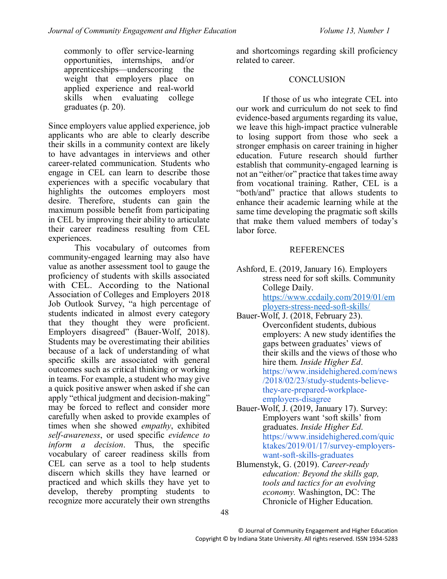commonly to offer service-learning opportunities, internships, and/or apprenticeships—underscoring the weight that employers place on applied experience and real-world skills when evaluating college graduates (p. 20).

Since employers value applied experience, job applicants who are able to clearly describe their skills in a community context are likely to have advantages in interviews and other career-related communication. Students who engage in CEL can learn to describe those experiences with a specific vocabulary that highlights the outcomes employers most desire. Therefore, students can gain the maximum possible benefit from participating in CEL by improving their ability to articulate their career readiness resulting from CEL experiences.

This vocabulary of outcomes from community-engaged learning may also have value as another assessment tool to gauge the proficiency of students with skills associated with CEL. According to the National Association of Colleges and Employers 2018 Job Outlook Survey, "a high percentage of students indicated in almost every category that they thought they were proficient. Employers disagreed" (Bauer-Wolf, 2018). Students may be overestimating their abilities because of a lack of understanding of what specific skills are associated with general outcomes such as critical thinking or working in teams. For example, a student who may give a quick positive answer when asked if she can apply "ethical judgment and decision-making" may be forced to reflect and consider more carefully when asked to provide examples of times when she showed *empathy*, exhibited *self-awareness*, or used specific *evidence to inform a decision*. Thus, the specific vocabulary of career readiness skills from CEL can serve as a tool to help students discern which skills they have learned or practiced and which skills they have yet to develop, thereby prompting students to recognize more accurately their own strengths

and shortcomings regarding skill proficiency related to career.

#### **CONCLUSION**

If those of us who integrate CEL into our work and curriculum do not seek to find evidence-based arguments regarding its value, we leave this high-impact practice vulnerable to losing support from those who seek a stronger emphasis on career training in higher education. Future research should further establish that community-engaged learning is not an "either/or" practice that takes time away from vocational training. Rather, CEL is a "both/and" practice that allows students to enhance their academic learning while at the same time developing the pragmatic soft skills that make them valued members of today's labor force.

## REFERENCES

Ashford, E. (2019, January 16). Employers stress need for soft skills. Community College Daily. [https://www.ccdaily.com/2019/01/em](https://www.ccdaily.com/2019/01/employers-stress-need-soft-skills/) [ployers-stress-need-soft-skills/](https://www.ccdaily.com/2019/01/employers-stress-need-soft-skills/)

- Bauer-Wolf, J. (2018, February 23). Overconfident students, dubious employers: A new study identifies the gaps between graduates' views of their skills and the views of those who hire them. *Inside Higher Ed*. [https://www.insidehighered.com/news](https://www.insidehighered.com/news/2018/02/23/study-students-believe-they-are-prepared-workplace-employers-disagree) [/2018/02/23/study-students-believe](https://www.insidehighered.com/news/2018/02/23/study-students-believe-they-are-prepared-workplace-employers-disagree)[they-are-prepared-workplace](https://www.insidehighered.com/news/2018/02/23/study-students-believe-they-are-prepared-workplace-employers-disagree)[employers-disagree](https://www.insidehighered.com/news/2018/02/23/study-students-believe-they-are-prepared-workplace-employers-disagree)
- Bauer-Wolf, J. (2019, January 17). Survey: Employers want 'soft skills' from graduates. *Inside Higher Ed*. https://www.insidehighered.com/quic ktakes/2019/01/17/survey-employerswant-soft-skills-graduates
- Blumenstyk, G. (2019). *Career-ready education: Beyond the skills gap, tools and tactics for an evolving economy.* Washington, DC: The Chronicle of Higher Education.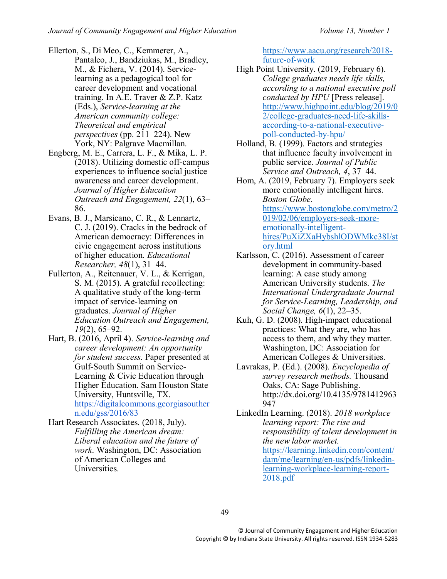- Ellerton, S., Di Meo, C., Kemmerer, A., Pantaleo, J., Bandziukas, M., Bradley, M., & Fichera, V. (2014). Servicelearning as a pedagogical tool for career development and vocational training. In A.E. Traver & Z.P. Katz (Eds.), *Service-learning at the American community college: Theoretical and empirical perspectives* (pp. 211–224). New York, NY: Palgrave Macmillan.
- Engberg, M. E., Carrera, L. F., & Mika, L. P. (2018). Utilizing domestic off-campus experiences to influence social justice awareness and career development. *Journal of Higher Education Outreach and Engagement, 22*(1), 63– 86.
- Evans, B. J., Marsicano, C. R., & Lennartz, C. J. (2019). Cracks in the bedrock of American democracy: Differences in civic engagement across institutions of higher education. *Educational Researcher, 48*(1), 31–44.
- Fullerton, A., Reitenauer, V. L., & Kerrigan, S. M. (2015). A grateful recollecting: A qualitative study of the long-term impact of service-learning on graduates. *Journal of Higher Education Outreach and Engagement, 19*(2), 65–92.
- Hart, B. (2016, April 4). *Service-learning and career development: An opportunity for student success.* Paper presented at Gulf-South Summit on Service-Learning & Civic Education through Higher Education. Sam Houston State University, Huntsville, TX. [https://digitalcommons.georgiasouther](https://digitalcommons.georgiasouthern.edu/gss/2016/83) [n.edu/gss/2016/83](https://digitalcommons.georgiasouthern.edu/gss/2016/83)
- Hart Research Associates. (2018, July). *Fulfilling the American dream: Liberal education and the future of work*. Washington, DC: Association of American Colleges and Universities.

[https://www.aacu.org/research/2018](https://www.aacu.org/research/2018-future-of-work) [future-of-work](https://www.aacu.org/research/2018-future-of-work)

- High Point University. (2019, February 6). *College graduates needs life skills, according to a national executive poll conducted by HPU* [Press release]. [http://www.highpoint.edu/blog/2019/0](http://www.highpoint.edu/blog/2019/02/college-graduates-need-life-skills-according-to-a-national-executive-poll-conducted-by-hpu/) [2/college-graduates-need-life-skills](http://www.highpoint.edu/blog/2019/02/college-graduates-need-life-skills-according-to-a-national-executive-poll-conducted-by-hpu/)[according-to-a-national-executive](http://www.highpoint.edu/blog/2019/02/college-graduates-need-life-skills-according-to-a-national-executive-poll-conducted-by-hpu/)[poll-conducted-by-hpu/](http://www.highpoint.edu/blog/2019/02/college-graduates-need-life-skills-according-to-a-national-executive-poll-conducted-by-hpu/)
- Holland, B. (1999). Factors and strategies that influence faculty involvement in public service. *Journal of Public Service and Outreach, 4*, 37–44.

Hom, A. (2019, February 7). Employers seek more emotionally intelligent hires. *Boston Globe*. [https://www.bostonglobe.com/metro/2](https://www.bostonglobe.com/metro/2019/02/06/employers-seek-more-emotionally-intelligent-hires/PuXiZXaHybshlODWMkc38I/story.html) [019/02/06/employers-seek-more](https://www.bostonglobe.com/metro/2019/02/06/employers-seek-more-emotionally-intelligent-hires/PuXiZXaHybshlODWMkc38I/story.html)[emotionally-intelligent](https://www.bostonglobe.com/metro/2019/02/06/employers-seek-more-emotionally-intelligent-hires/PuXiZXaHybshlODWMkc38I/story.html)[hires/PuXiZXaHybshlODWMkc38I/st](https://www.bostonglobe.com/metro/2019/02/06/employers-seek-more-emotionally-intelligent-hires/PuXiZXaHybshlODWMkc38I/story.html) [ory.html](https://www.bostonglobe.com/metro/2019/02/06/employers-seek-more-emotionally-intelligent-hires/PuXiZXaHybshlODWMkc38I/story.html)

- Karlsson, C. (2016). Assessment of career development in community-based learning: A case study among American University students. *The International Undergraduate Journal for Service-Learning, Leadership, and Social Change, 6*(1), 22–35.
- Kuh, G. D. (2008). High-impact educational practices: What they are, who has access to them, and why they matter. Washington, DC: Association for American Colleges & Universities.
- Lavrakas, P. (Ed.). (2008). *Encyclopedia of survey research methods.* Thousand Oaks, CA: Sage Publishing. http://dx.doi.org/10.4135/9781412963 947

LinkedIn Learning. (2018). *2018 workplace learning report: The rise and responsibility of talent development in the new labor market.* [https://learning.linkedin.com/content/](https://learning.linkedin.com/content/dam/me/learning/en-us/pdfs/linkedin-learning-workplace-learning-report-2018.pdf) [dam/me/learning/en-us/pdfs/linkedin](https://learning.linkedin.com/content/dam/me/learning/en-us/pdfs/linkedin-learning-workplace-learning-report-2018.pdf)[learning-workplace-learning-report-](https://learning.linkedin.com/content/dam/me/learning/en-us/pdfs/linkedin-learning-workplace-learning-report-2018.pdf)[2018.pdf](https://learning.linkedin.com/content/dam/me/learning/en-us/pdfs/linkedin-learning-workplace-learning-report-2018.pdf)

49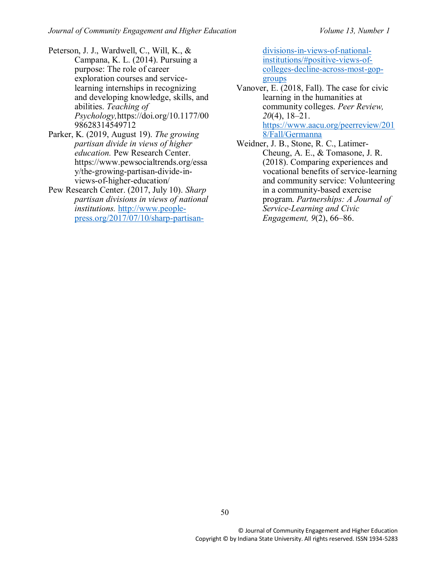- Peterson, J. J., Wardwell, C., Will, K., & Campana, K. L. (2014). Pursuing a purpose: The role of career exploration courses and servicelearning internships in recognizing and developing knowledge, skills, and abilities. *Teaching of Psychology,*https://doi.org/10.1177/00 98628314549712
- Parker, K. (2019, August 19). *The growing partisan divide in views of higher education.* Pew Research Center. https://www.pewsocialtrends.org/essa y/the-growing-partisan-divide-inviews-of-higher-education/
- Pew Research Center. (2017, July 10). *Sharp partisan divisions in views of national institutions.* [http://www.people](http://www.people-press.org/2017/07/10/sharp-partisan-divisions-in-views-of-national-institutions/#positive-views-of-colleges-decline-across-most-gop-groups)[press.org/2017/07/10/sharp-partisan-](http://www.people-press.org/2017/07/10/sharp-partisan-divisions-in-views-of-national-institutions/#positive-views-of-colleges-decline-across-most-gop-groups)

[divisions-in-views-of-national](http://www.people-press.org/2017/07/10/sharp-partisan-divisions-in-views-of-national-institutions/#positive-views-of-colleges-decline-across-most-gop-groups)[institutions/#positive-views-of](http://www.people-press.org/2017/07/10/sharp-partisan-divisions-in-views-of-national-institutions/#positive-views-of-colleges-decline-across-most-gop-groups)[colleges-decline-across-most-gop](http://www.people-press.org/2017/07/10/sharp-partisan-divisions-in-views-of-national-institutions/#positive-views-of-colleges-decline-across-most-gop-groups)[groups](http://www.people-press.org/2017/07/10/sharp-partisan-divisions-in-views-of-national-institutions/#positive-views-of-colleges-decline-across-most-gop-groups)

- Vanover, E. (2018, Fall). The case for civic learning in the humanities at community colleges. *Peer Review, 20*(4), 18–21. [https://www.aacu.org/peerreview/201](https://www.aacu.org/peerreview/2018/Fall/Germanna) [8/Fall/Germanna](https://www.aacu.org/peerreview/2018/Fall/Germanna)
- Weidner, J. B., Stone, R. C., Latimer-Cheung, A. E., & Tomasone, J. R. (2018). Comparing experiences and vocational benefits of service-learning and community service: Volunteering in a community-based exercise program. *Partnerships: A Journal of Service-Learning and Civic Engagement, 9*(2), 66–86.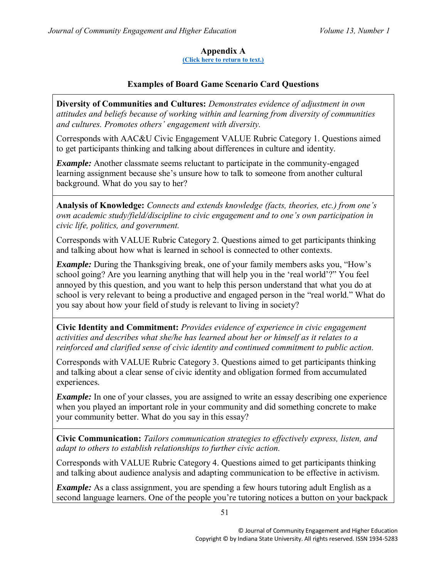## **Appendix A**

**[\(Click here to return to text.\)](#page-3-0)**

## **Examples of Board Game Scenario Card Questions**

<span id="page-12-0"></span>**Diversity of Communities and Cultures:** *Demonstrates evidence of adjustment in own attitudes and beliefs because of working within and learning from diversity of communities and cultures. Promotes others' engagement with diversity.* 

Corresponds with AAC&U Civic Engagement VALUE Rubric Category 1. Questions aimed to get participants thinking and talking about differences in culture and identity.

*Example:* Another classmate seems reluctant to participate in the community-engaged learning assignment because she's unsure how to talk to someone from another cultural background. What do you say to her?

**Analysis of Knowledge:** *Connects and extends knowledge (facts, theories, etc.) from one's own academic study/field/discipline to civic engagement and to one's own participation in civic life, politics, and government.* 

Corresponds with VALUE Rubric Category 2. Questions aimed to get participants thinking and talking about how what is learned in school is connected to other contexts.

*Example:* During the Thanksgiving break, one of your family members asks you, "How's school going? Are you learning anything that will help you in the 'real world'?" You feel annoyed by this question, and you want to help this person understand that what you do at school is very relevant to being a productive and engaged person in the "real world." What do you say about how your field of study is relevant to living in society?

**Civic Identity and Commitment:** *Provides evidence of experience in civic engagement activities and describes what she/he has learned about her or himself as it relates to a reinforced and clarified sense of civic identity and continued commitment to public action.* 

Corresponds with VALUE Rubric Category 3. Questions aimed to get participants thinking and talking about a clear sense of civic identity and obligation formed from accumulated experiences.

*Example:* In one of your classes, you are assigned to write an essay describing one experience when you played an important role in your community and did something concrete to make your community better. What do you say in this essay?

**Civic Communication:** *Tailors communication strategies to effectively express, listen, and adapt to others to establish relationships to further civic action.* 

Corresponds with VALUE Rubric Category 4. Questions aimed to get participants thinking and talking about audience analysis and adapting communication to be effective in activism.

*Example:* As a class assignment, you are spending a few hours tutoring adult English as a second language learners. One of the people you're tutoring notices a button on your backpack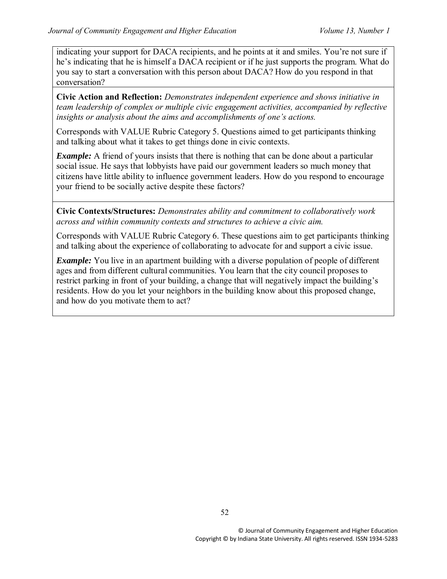indicating your support for DACA recipients, and he points at it and smiles. You're not sure if he's indicating that he is himself a DACA recipient or if he just supports the program. What do you say to start a conversation with this person about DACA? How do you respond in that conversation?

**Civic Action and Reflection:** *Demonstrates independent experience and shows initiative in team leadership of complex or multiple civic engagement activities, accompanied by reflective insights or analysis about the aims and accomplishments of one's actions.*

Corresponds with VALUE Rubric Category 5. Questions aimed to get participants thinking and talking about what it takes to get things done in civic contexts.

*Example:* A friend of yours insists that there is nothing that can be done about a particular social issue. He says that lobbyists have paid our government leaders so much money that citizens have little ability to influence government leaders. How do you respond to encourage your friend to be socially active despite these factors?

**Civic Contexts/Structures:** *Demonstrates ability and commitment to collaboratively work across and within community contexts and structures to achieve a civic aim.*

Corresponds with VALUE Rubric Category 6. These questions aim to get participants thinking and talking about the experience of collaborating to advocate for and support a civic issue.

*Example:* You live in an apartment building with a diverse population of people of different ages and from different cultural communities. You learn that the city council proposes to restrict parking in front of your building, a change that will negatively impact the building's residents. How do you let your neighbors in the building know about this proposed change, and how do you motivate them to act?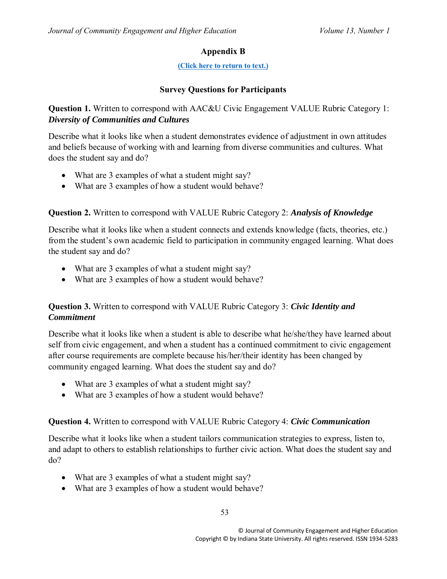# **Appendix B**

#### **[\(Click here to return to text.\)](#page-3-1)**

## **Survey Questions for Participants**

## <span id="page-14-0"></span>**Question 1.** Written to correspond with AAC&U Civic Engagement VALUE Rubric Category 1: *Diversity of Communities and Cultures*

Describe what it looks like when a student demonstrates evidence of adjustment in own attitudes and beliefs because of working with and learning from diverse communities and cultures. What does the student say and do?

- What are 3 examples of what a student might say?
- What are 3 examples of how a student would behave?

## **Question 2.** Written to correspond with VALUE Rubric Category 2: *Analysis of Knowledge*

Describe what it looks like when a student connects and extends knowledge (facts, theories, etc.) from the student's own academic field to participation in community engaged learning. What does the student say and do?

- What are 3 examples of what a student might say?
- What are 3 examples of how a student would behave?

## **Question 3.** Written to correspond with VALUE Rubric Category 3: *Civic Identity and Commitment*

Describe what it looks like when a student is able to describe what he/she/they have learned about self from civic engagement, and when a student has a continued commitment to civic engagement after course requirements are complete because his/her/their identity has been changed by community engaged learning. What does the student say and do?

- What are 3 examples of what a student might say?
- What are 3 examples of how a student would behave?

#### **Question 4.** Written to correspond with VALUE Rubric Category 4: *Civic Communication*

Describe what it looks like when a student tailors communication strategies to express, listen to, and adapt to others to establish relationships to further civic action. What does the student say and do?

- What are 3 examples of what a student might say?
- What are 3 examples of how a student would behave?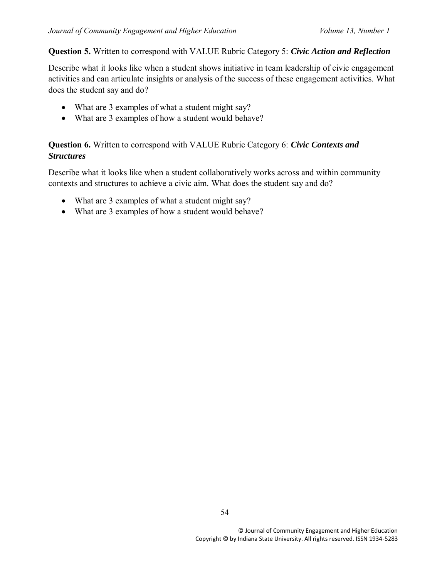#### **Question 5.** Written to correspond with VALUE Rubric Category 5: *Civic Action and Reflection*

Describe what it looks like when a student shows initiative in team leadership of civic engagement activities and can articulate insights or analysis of the success of these engagement activities. What does the student say and do?

- What are 3 examples of what a student might say?
- What are 3 examples of how a student would behave?

## **Question 6.** Written to correspond with VALUE Rubric Category 6: *Civic Contexts and Structures*

Describe what it looks like when a student collaboratively works across and within community contexts and structures to achieve a civic aim. What does the student say and do?

- What are 3 examples of what a student might say?
- What are 3 examples of how a student would behave?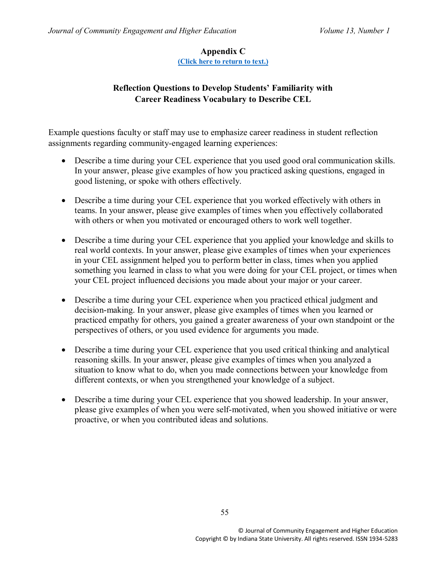## **Appendix C**

**[\(Click here to return to text.\)](#page-8-0)**

## <span id="page-16-0"></span>**Reflection Questions to Develop Students' Familiarity with Career Readiness Vocabulary to Describe CEL**

Example questions faculty or staff may use to emphasize career readiness in student reflection assignments regarding community-engaged learning experiences:

- Describe a time during your CEL experience that you used good oral communication skills. In your answer, please give examples of how you practiced asking questions, engaged in good listening, or spoke with others effectively.
- Describe a time during your CEL experience that you worked effectively with others in teams. In your answer, please give examples of times when you effectively collaborated with others or when you motivated or encouraged others to work well together.
- Describe a time during your CEL experience that you applied your knowledge and skills to real world contexts. In your answer, please give examples of times when your experiences in your CEL assignment helped you to perform better in class, times when you applied something you learned in class to what you were doing for your CEL project, or times when your CEL project influenced decisions you made about your major or your career.
- Describe a time during your CEL experience when you practiced ethical judgment and decision-making. In your answer, please give examples of times when you learned or practiced empathy for others, you gained a greater awareness of your own standpoint or the perspectives of others, or you used evidence for arguments you made.
- Describe a time during your CEL experience that you used critical thinking and analytical reasoning skills. In your answer, please give examples of times when you analyzed a situation to know what to do, when you made connections between your knowledge from different contexts, or when you strengthened your knowledge of a subject.
- Describe a time during your CEL experience that you showed leadership. In your answer, please give examples of when you were self-motivated, when you showed initiative or were proactive, or when you contributed ideas and solutions.